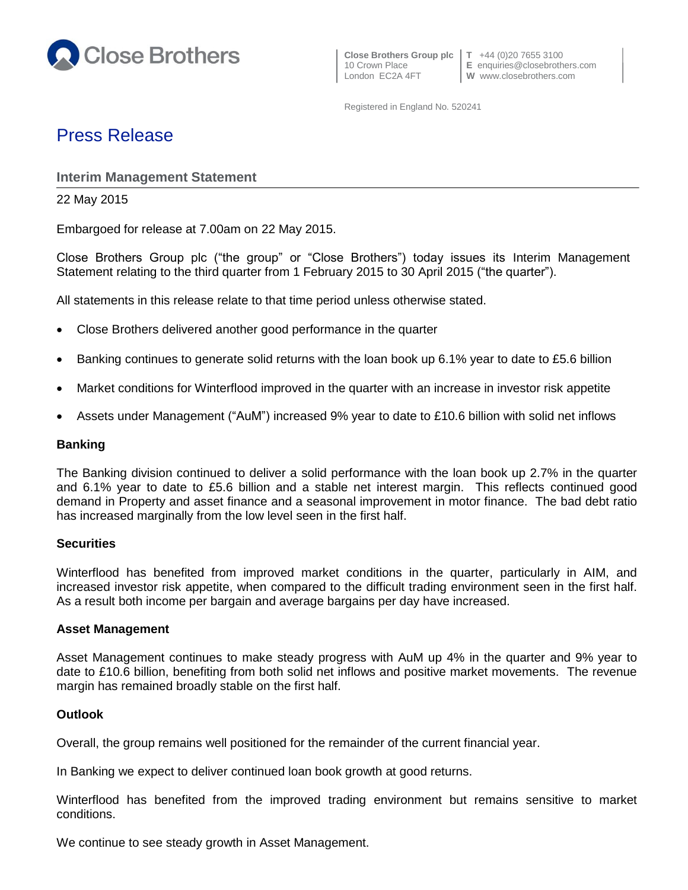

10 Crown Place **E** enquiries@closebrothers.com

Registered in England No. 520241

# Press Release

# **Interim Management Statement**

22 May 2015

Embargoed for release at 7.00am on 22 May 2015.

Close Brothers Group plc ("the group" or "Close Brothers") today issues its Interim Management Statement relating to the third quarter from 1 February 2015 to 30 April 2015 ("the quarter").

All statements in this release relate to that time period unless otherwise stated.

- Close Brothers delivered another good performance in the quarter
- Banking continues to generate solid returns with the loan book up 6.1% year to date to £5.6 billion
- Market conditions for Winterflood improved in the quarter with an increase in investor risk appetite
- Assets under Management ("AuM") increased 9% year to date to £10.6 billion with solid net inflows

#### **Banking**

The Banking division continued to deliver a solid performance with the loan book up 2.7% in the quarter and 6.1% year to date to £5.6 billion and a stable net interest margin. This reflects continued good demand in Property and asset finance and a seasonal improvement in motor finance. The bad debt ratio has increased marginally from the low level seen in the first half.

#### **Securities**

Winterflood has benefited from improved market conditions in the quarter, particularly in AIM, and increased investor risk appetite, when compared to the difficult trading environment seen in the first half. As a result both income per bargain and average bargains per day have increased.

#### **Asset Management**

Asset Management continues to make steady progress with AuM up 4% in the quarter and 9% year to date to £10.6 billion, benefiting from both solid net inflows and positive market movements. The revenue margin has remained broadly stable on the first half.

## **Outlook**

Overall, the group remains well positioned for the remainder of the current financial year.

In Banking we expect to deliver continued loan book growth at good returns.

Winterflood has benefited from the improved trading environment but remains sensitive to market conditions.

We continue to see steady growth in Asset Management.